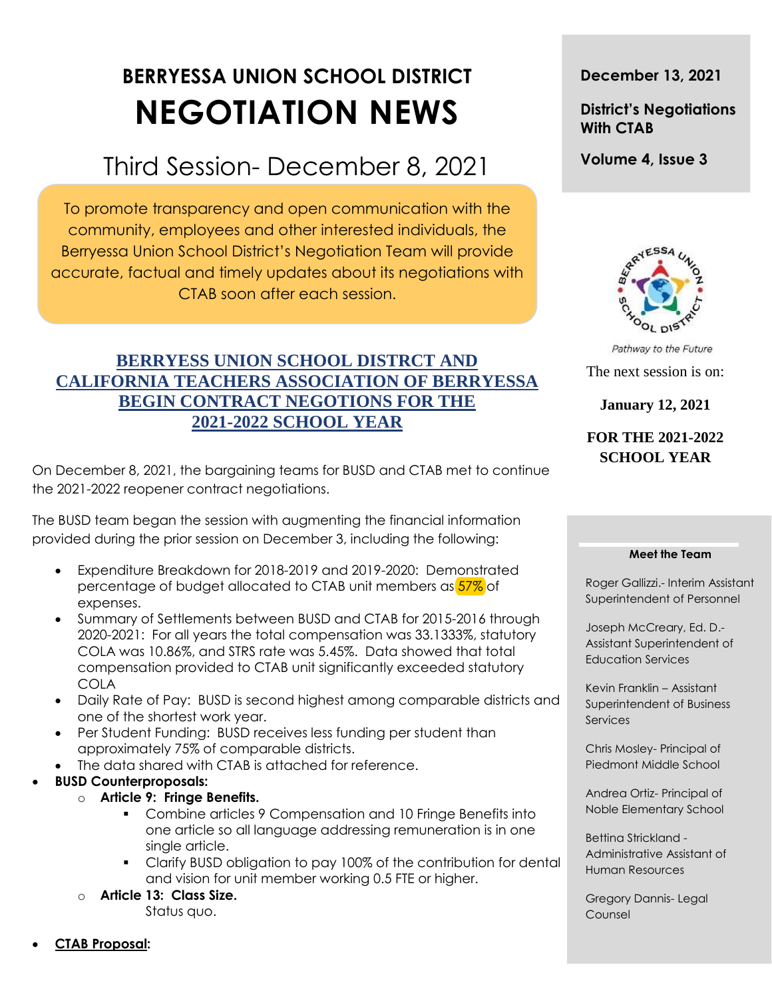# **BERRYESSA UNION SCHOOL DISTRICT NEGOTIATION NEWS**

# Third Session- December 8, 2021

To promote transparency and open communication with the community, employees and other interested individuals, the Berryessa Union School District's Negotiation Team will provide accurate, factual and timely updates about its negotiations with CTAB soon after each session.

# **BERRYESS UNION SCHOOL DISTRCT AND CALIFORNIA TEACHERS ASSOCIATION OF BERRYESSA BEGIN CONTRACT NEGOTIONS FOR THE 2021-2022 SCHOOL YEAR**

On December 8, 2021, the bargaining teams for BUSD and CTAB met to continue the 2021-2022 reopener contract negotiations.

The BUSD team began the session with augmenting the financial information provided during the prior session on December 3, including the following:

- Expenditure Breakdown for 2018-2019 and 2019-2020: Demonstrated percentage of budget allocated to CTAB unit members as  $57\%$  of expenses.
- Summary of Settlements between BUSD and CTAB for 2015-2016 through 2020-2021: For all years the total compensation was 33.1333%, statutory COLA was 10.86%, and STRS rate was 5.45%. Data showed that total compensation provided to CTAB unit significantly exceeded statutory COLA
- Daily Rate of Pay: BUSD is second highest among comparable districts and one of the shortest work year.
- Per Student Funding: BUSD receives less funding per student than approximately 75% of comparable districts.
- The data shared with CTAB is attached for reference.

#### **BUSD Counterproposals:**

- o **Article 9: Fringe Benefits.**
	- Combine articles 9 Compensation and 10 Fringe Benefits into one article so all language addressing remuneration is in one single article.
	- Clarify BUSD obligation to pay 100% of the contribution for dental and vision for unit member working 0.5 FTE or higher.
- o **Article 13: Class Size.**

Status quo.

## **December 13, 2021**

# **District's Negotiations With CTAB**

**Volume 4, Issue 3**



Pathway to the Future The next session is on:

**January 12, 2021**

# **FOR THE 2021-2022 SCHOOL YEAR**

#### **Meet the Team**

Roger Gallizzi.- Interim Assistant Superintendent of Personnel

Joseph McCreary, Ed. D.- Assistant Superintendent of Education Services

Kevin Franklin – Assistant Superintendent of Business **Services** 

Chris Mosley- Principal of Piedmont Middle School

Andrea Ortiz- Principal of Noble Elementary School

Bettina Strickland - Administrative Assistant of Human Resources

Gregory Dannis- Legal Counsel

**CTAB Proposal:**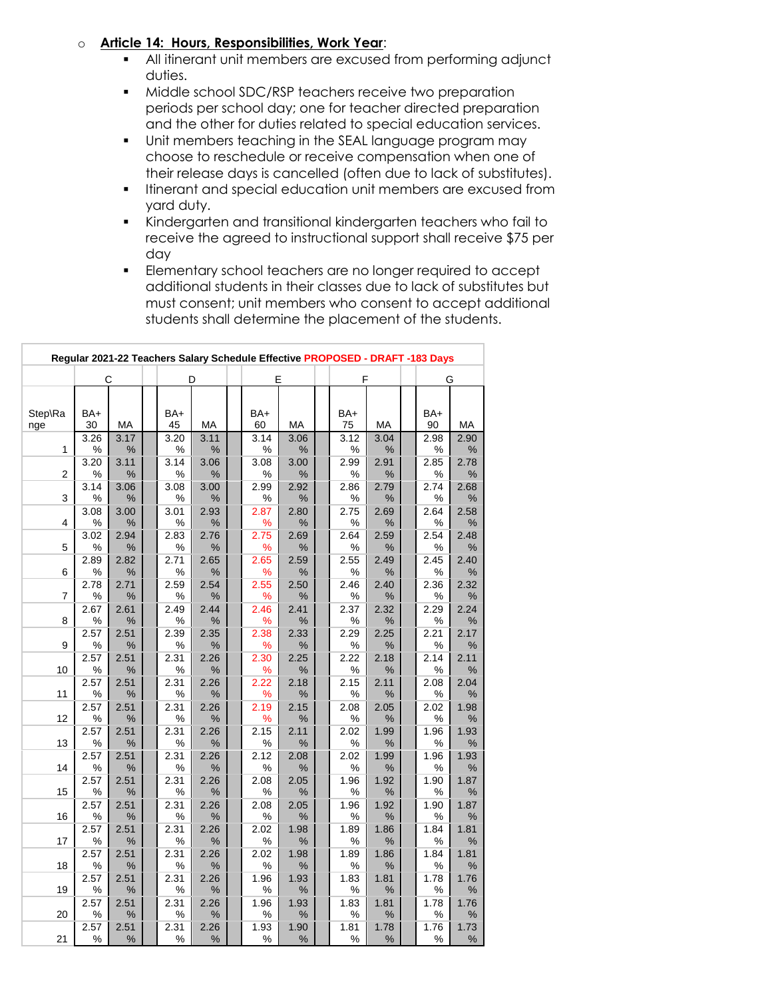#### o **Article 14: Hours, Responsibilities, Work Year**:

- All itinerant unit members are excused from performing adjunct duties.
- **Middle school SDC/RSP teachers receive two preparation** periods per school day; one for teacher directed preparation and the other for duties related to special education services.
- Unit members teaching in the SEAL language program may choose to reschedule or receive compensation when one of their release days is cancelled (often due to lack of substitutes).
- **I** Itinerant and special education unit members are excused from yard duty.
- Kindergarten and transitional kindergarten teachers who fail to receive the agreed to instructional support shall receive \$75 per day
- **Elementary school teachers are no longer required to accept** additional students in their classes due to lack of substitutes but must consent; unit members who consent to accept additional students shall determine the placement of the students.

| Regular 2021-22 Teachers Salary Schedule Effective PROPOSED - DRAFT -183 Days |              |              |  |              |              |  |              |              |  |              |              |  |              |           |  |
|-------------------------------------------------------------------------------|--------------|--------------|--|--------------|--------------|--|--------------|--------------|--|--------------|--------------|--|--------------|-----------|--|
|                                                                               | С            |              |  | D            |              |  | Е            |              |  | F            |              |  | G            |           |  |
| Step\Ra<br>nge                                                                | BA+<br>30    | <b>MA</b>    |  | BA+<br>45    | <b>MA</b>    |  | BA+<br>60    | МA           |  | BA+<br>75    | MA           |  | BA+<br>90    | MA        |  |
| $\mathbf{1}$                                                                  | 3.26<br>$\%$ | 3.17<br>$\%$ |  | 3.20<br>$\%$ | 3.11<br>$\%$ |  | 3.14<br>℅    | 3.06<br>$\%$ |  | 3.12<br>$\%$ | 3.04<br>$\%$ |  | 2.98<br>%    | 2.90<br>% |  |
| $\overline{2}$                                                                | 3.20<br>$\%$ | 3.11<br>%    |  | 3.14<br>%    | 3.06<br>%    |  | 3.08<br>$\%$ | 3.00<br>$\%$ |  | 2.99<br>$\%$ | 2.91<br>$\%$ |  | 2.85<br>%    | 2.78<br>% |  |
| 3                                                                             | 3.14<br>$\%$ | 3.06<br>%    |  | 3.08<br>%    | 3.00<br>%    |  | 2.99<br>$\%$ | 2.92<br>$\%$ |  | 2.86<br>%    | 2.79<br>$\%$ |  | 2.74<br>%    | 2.68<br>% |  |
| 4                                                                             | 3.08<br>%    | 3.00<br>%    |  | 3.01<br>%    | 2.93<br>%    |  | 2.87<br>℅    | 2.80<br>%    |  | 2.75<br>%    | 2.69<br>%    |  | 2.64<br>%    | 2.58<br>% |  |
| 5                                                                             | 3.02<br>$\%$ | 2.94<br>$\%$ |  | 2.83<br>%    | 2.76<br>%    |  | 2.75<br>%    | 2.69<br>%    |  | 2.64<br>%    | 2.59<br>$\%$ |  | 2.54<br>%    | 2.48<br>% |  |
| 6                                                                             | 2.89<br>$\%$ | 2.82<br>$\%$ |  | 2.71<br>$\%$ | 2.65<br>$\%$ |  | 2.65<br>℅    | 2.59<br>$\%$ |  | 2.55<br>$\%$ | 2.49<br>$\%$ |  | 2.45<br>$\%$ | 2.40<br>% |  |
| $\overline{7}$                                                                | 2.78<br>%    | 2.71<br>$\%$ |  | 2.59<br>%    | 2.54<br>%    |  | 2.55<br>%    | 2.50<br>%    |  | 2.46<br>%    | 2.40<br>%    |  | 2.36<br>%    | 2.32<br>% |  |
| 8                                                                             | 2.67<br>%    | 2.61<br>%    |  | 2.49<br>%    | 2.44<br>%    |  | 2.46<br>%    | 2.41<br>%    |  | 2.37<br>%    | 2.32<br>$\%$ |  | 2.29<br>%    | 2.24<br>% |  |
| 9                                                                             | 2.57<br>$\%$ | 2.51<br>%    |  | 2.39<br>%    | 2.35<br>%    |  | 2.38<br>%    | 2.33<br>$\%$ |  | 2.29<br>$\%$ | 2.25<br>$\%$ |  | 2.21<br>%    | 2.17<br>% |  |
| 10                                                                            | 2.57<br>$\%$ | 2.51<br>%    |  | 2.31<br>$\%$ | 2.26<br>%    |  | 2.30<br>%    | 2.25<br>$\%$ |  | 2.22<br>%    | 2.18<br>$\%$ |  | 2.14<br>%    | 2.11<br>% |  |
| 11                                                                            | 2.57<br>$\%$ | 2.51<br>%    |  | 2.31<br>$\%$ | 2.26<br>%    |  | 2.22<br>%    | 2.18<br>%    |  | 2.15<br>%    | 2.11<br>$\%$ |  | 2.08<br>%    | 2.04<br>% |  |
| 12                                                                            | 2.57<br>%    | 2.51<br>%    |  | 2.31<br>%    | 2.26<br>%    |  | 2.19<br>%    | 2.15<br>%    |  | 2.08<br>%    | 2.05<br>$\%$ |  | 2.02<br>%    | 1.98<br>% |  |
| 13                                                                            | 2.57<br>$\%$ | 2.51<br>$\%$ |  | 2.31<br>$\%$ | 2.26<br>$\%$ |  | 2.15<br>$\%$ | 2.11<br>$\%$ |  | 2.02<br>$\%$ | 1.99<br>$\%$ |  | 1.96<br>$\%$ | 1.93<br>% |  |
| 14                                                                            | 2.57<br>$\%$ | 2.51<br>$\%$ |  | 2.31<br>$\%$ | 2.26<br>$\%$ |  | 2.12<br>$\%$ | 2.08<br>$\%$ |  | 2.02<br>$\%$ | 1.99<br>$\%$ |  | 1.96<br>%    | 1.93<br>% |  |
| 15                                                                            | 2.57<br>%    | 2.51<br>$\%$ |  | 2.31<br>%    | 2.26<br>%    |  | 2.08<br>℅    | 2.05<br>$\%$ |  | 1.96<br>$\%$ | 1.92<br>$\%$ |  | 1.90<br>%    | 1.87<br>% |  |
| 16                                                                            | 2.57<br>$\%$ | 2.51<br>$\%$ |  | 2.31<br>$\%$ | 2.26<br>$\%$ |  | 2.08<br>$\%$ | 2.05<br>$\%$ |  | 1.96<br>$\%$ | 1.92<br>$\%$ |  | 1.90<br>%    | 1.87<br>% |  |
| 17                                                                            | 2.57<br>$\%$ | 2.51<br>$\%$ |  | 2.31<br>%    | 2.26<br>$\%$ |  | 2.02<br>$\%$ | 1.98<br>$\%$ |  | 1.89<br>$\%$ | 1.86<br>$\%$ |  | 1.84<br>%    | 1.81<br>% |  |
| 18                                                                            | 2.57<br>%    | 2.51<br>$\%$ |  | 2.31<br>%    | 2.26<br>%    |  | 2.02<br>℅    | 1.98<br>%    |  | 1.89<br>%    | 1.86<br>%    |  | 1.84<br>%    | 1.81<br>% |  |
| 19                                                                            | 2.57<br>%    | 2.51<br>%    |  | 2.31<br>%    | 2.26<br>%    |  | 1.96<br>℅    | 1.93<br>%    |  | 1.83<br>%    | 1.81<br>%    |  | 1.78<br>%    | 1.76<br>% |  |
| 20                                                                            | 2.57<br>$\%$ | 2.51<br>$\%$ |  | 2.31<br>$\%$ | 2.26<br>$\%$ |  | 1.96<br>$\%$ | 1.93<br>$\%$ |  | 1.83<br>%    | 1.81<br>$\%$ |  | 1.78<br>%    | 1.76<br>% |  |
| 21                                                                            | 2.57<br>%    | 2.51<br>$\%$ |  | 2.31<br>$\%$ | 2.26<br>$\%$ |  | 1.93<br>$\%$ | 1.90<br>%    |  | 1.81<br>$\%$ | 1.78<br>$\%$ |  | 1.76<br>%    | 1.73<br>% |  |